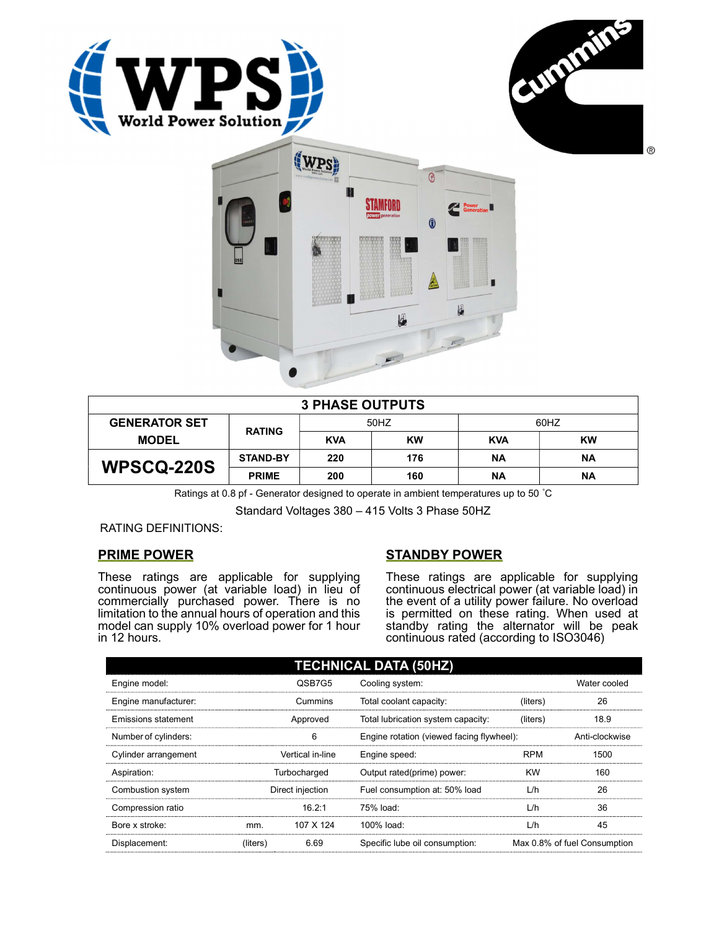





| <b>3 PHASE OUTPUTS</b> |                 |            |           |            |           |  |
|------------------------|-----------------|------------|-----------|------------|-----------|--|
| <b>GENERATOR SET</b>   | <b>RATING</b>   | 50HZ       |           | 60HZ       |           |  |
| <b>MODEL</b>           |                 | <b>KVA</b> | <b>KW</b> | <b>KVA</b> | <b>KW</b> |  |
| <b>WPSCQ-220S</b>      | <b>STAND-BY</b> | 220        | 176       | ΝA         | ΝA        |  |
|                        | <b>PRIME</b>    | 200        | 160       | ΝA         | ΝA        |  |

Ratings at 0.8 pf - Generator designed to operate in ambient temperatures up to 50 °C

Standard Voltages 380 – 415 Volts 3 Phase 50HZ

RATING DEFINITIONS:

## PRIME POWER

These ratings are applicable for supplying continuous power (at variable load) in lieu of commercially purchased power. There is no limitation to the annual hours of operation and this model can supply 10% overload power for 1 hour in 12 hours.

## STANDBY POWER

These ratings are applicable for supplying continuous electrical power (at variable load) in the event of a utility power failure. No overload is permitted on these rating. When used at standby rating the alternator will be peak continuous rated (according to ISO3046)

| <b>TECHNICAL DATA (50HZ)</b> |                  |                  |                                           |            |                              |  |
|------------------------------|------------------|------------------|-------------------------------------------|------------|------------------------------|--|
| Engine model:                |                  | QSB7G5           | Cooling system:                           |            | Water cooled                 |  |
| Engine manufacturer:         |                  | Cummins          | Total coolant capacity:                   | (liters)   | 26                           |  |
| Emissions statement          | Approved         |                  | Total lubrication system capacity:        | (liters)   | 18.9                         |  |
| Number of cylinders:         | 6                |                  | Engine rotation (viewed facing flywheel): |            | Anti-clockwise               |  |
| Cylinder arrangement         |                  | Vertical in-line | Engine speed:                             | <b>RPM</b> | 1500                         |  |
| Aspiration:                  | Turbocharged     |                  | Output rated(prime) power:                | <b>KW</b>  | 160                          |  |
| Combustion system            | Direct injection |                  | Fuel consumption at: 50% load             | L/h        | 26                           |  |
| Compression ratio            |                  | 16.2:1           | 75% load:                                 | L/h        | 36                           |  |
| Bore x stroke:               | mm.              | 107 X 124        | 100% load:                                | L/h        | 45                           |  |
| Displacement:                | (liters)         | 6.69             | Specific lube oil consumption:            |            | Max 0.8% of fuel Consumption |  |